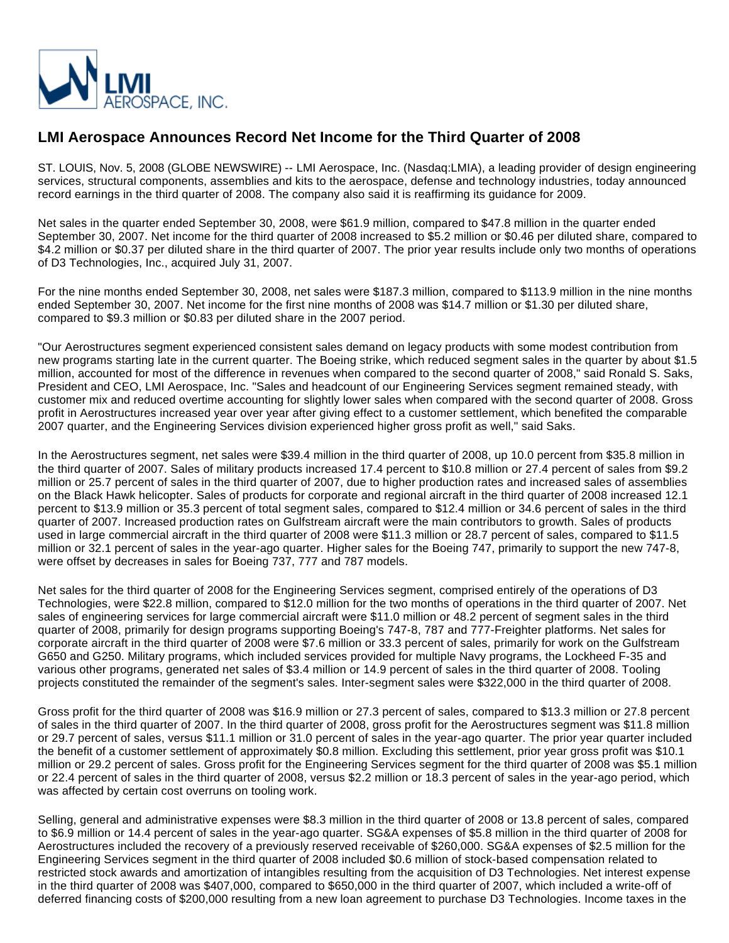

## **LMI Aerospace Announces Record Net Income for the Third Quarter of 2008**

ST. LOUIS, Nov. 5, 2008 (GLOBE NEWSWIRE) -- LMI Aerospace, Inc. (Nasdaq:LMIA), a leading provider of design engineering services, structural components, assemblies and kits to the aerospace, defense and technology industries, today announced record earnings in the third quarter of 2008. The company also said it is reaffirming its guidance for 2009.

Net sales in the quarter ended September 30, 2008, were \$61.9 million, compared to \$47.8 million in the quarter ended September 30, 2007. Net income for the third quarter of 2008 increased to \$5.2 million or \$0.46 per diluted share, compared to \$4.2 million or \$0.37 per diluted share in the third quarter of 2007. The prior year results include only two months of operations of D3 Technologies, Inc., acquired July 31, 2007.

For the nine months ended September 30, 2008, net sales were \$187.3 million, compared to \$113.9 million in the nine months ended September 30, 2007. Net income for the first nine months of 2008 was \$14.7 million or \$1.30 per diluted share, compared to \$9.3 million or \$0.83 per diluted share in the 2007 period.

"Our Aerostructures segment experienced consistent sales demand on legacy products with some modest contribution from new programs starting late in the current quarter. The Boeing strike, which reduced segment sales in the quarter by about \$1.5 million, accounted for most of the difference in revenues when compared to the second quarter of 2008," said Ronald S. Saks, President and CEO, LMI Aerospace, Inc. "Sales and headcount of our Engineering Services segment remained steady, with customer mix and reduced overtime accounting for slightly lower sales when compared with the second quarter of 2008. Gross profit in Aerostructures increased year over year after giving effect to a customer settlement, which benefited the comparable 2007 quarter, and the Engineering Services division experienced higher gross profit as well," said Saks.

In the Aerostructures segment, net sales were \$39.4 million in the third quarter of 2008, up 10.0 percent from \$35.8 million in the third quarter of 2007. Sales of military products increased 17.4 percent to \$10.8 million or 27.4 percent of sales from \$9.2 million or 25.7 percent of sales in the third quarter of 2007, due to higher production rates and increased sales of assemblies on the Black Hawk helicopter. Sales of products for corporate and regional aircraft in the third quarter of 2008 increased 12.1 percent to \$13.9 million or 35.3 percent of total segment sales, compared to \$12.4 million or 34.6 percent of sales in the third quarter of 2007. Increased production rates on Gulfstream aircraft were the main contributors to growth. Sales of products used in large commercial aircraft in the third quarter of 2008 were \$11.3 million or 28.7 percent of sales, compared to \$11.5 million or 32.1 percent of sales in the year-ago quarter. Higher sales for the Boeing 747, primarily to support the new 747-8, were offset by decreases in sales for Boeing 737, 777 and 787 models.

Net sales for the third quarter of 2008 for the Engineering Services segment, comprised entirely of the operations of D3 Technologies, were \$22.8 million, compared to \$12.0 million for the two months of operations in the third quarter of 2007. Net sales of engineering services for large commercial aircraft were \$11.0 million or 48.2 percent of segment sales in the third quarter of 2008, primarily for design programs supporting Boeing's 747-8, 787 and 777-Freighter platforms. Net sales for corporate aircraft in the third quarter of 2008 were \$7.6 million or 33.3 percent of sales, primarily for work on the Gulfstream G650 and G250. Military programs, which included services provided for multiple Navy programs, the Lockheed F-35 and various other programs, generated net sales of \$3.4 million or 14.9 percent of sales in the third quarter of 2008. Tooling projects constituted the remainder of the segment's sales. Inter-segment sales were \$322,000 in the third quarter of 2008.

Gross profit for the third quarter of 2008 was \$16.9 million or 27.3 percent of sales, compared to \$13.3 million or 27.8 percent of sales in the third quarter of 2007. In the third quarter of 2008, gross profit for the Aerostructures segment was \$11.8 million or 29.7 percent of sales, versus \$11.1 million or 31.0 percent of sales in the year-ago quarter. The prior year quarter included the benefit of a customer settlement of approximately \$0.8 million. Excluding this settlement, prior year gross profit was \$10.1 million or 29.2 percent of sales. Gross profit for the Engineering Services segment for the third quarter of 2008 was \$5.1 million or 22.4 percent of sales in the third quarter of 2008, versus \$2.2 million or 18.3 percent of sales in the year-ago period, which was affected by certain cost overruns on tooling work.

Selling, general and administrative expenses were \$8.3 million in the third quarter of 2008 or 13.8 percent of sales, compared to \$6.9 million or 14.4 percent of sales in the year-ago quarter. SG&A expenses of \$5.8 million in the third quarter of 2008 for Aerostructures included the recovery of a previously reserved receivable of \$260,000. SG&A expenses of \$2.5 million for the Engineering Services segment in the third quarter of 2008 included \$0.6 million of stock-based compensation related to restricted stock awards and amortization of intangibles resulting from the acquisition of D3 Technologies. Net interest expense in the third quarter of 2008 was \$407,000, compared to \$650,000 in the third quarter of 2007, which included a write-off of deferred financing costs of \$200,000 resulting from a new loan agreement to purchase D3 Technologies. Income taxes in the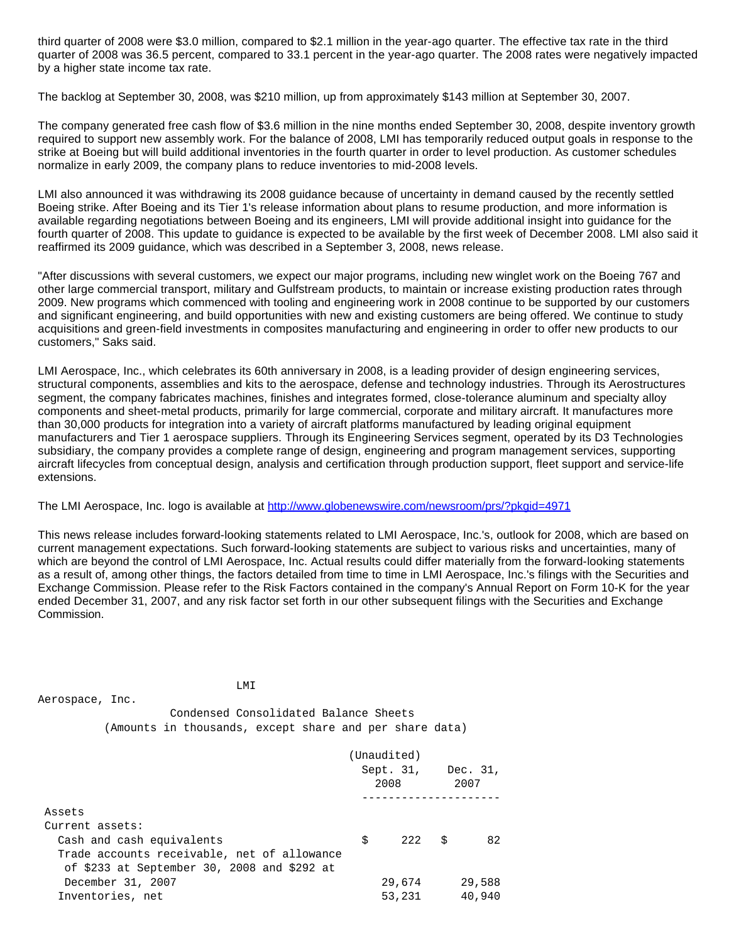third quarter of 2008 were \$3.0 million, compared to \$2.1 million in the year-ago quarter. The effective tax rate in the third quarter of 2008 was 36.5 percent, compared to 33.1 percent in the year-ago quarter. The 2008 rates were negatively impacted by a higher state income tax rate.

The backlog at September 30, 2008, was \$210 million, up from approximately \$143 million at September 30, 2007.

The company generated free cash flow of \$3.6 million in the nine months ended September 30, 2008, despite inventory growth required to support new assembly work. For the balance of 2008, LMI has temporarily reduced output goals in response to the strike at Boeing but will build additional inventories in the fourth quarter in order to level production. As customer schedules normalize in early 2009, the company plans to reduce inventories to mid-2008 levels.

LMI also announced it was withdrawing its 2008 guidance because of uncertainty in demand caused by the recently settled Boeing strike. After Boeing and its Tier 1's release information about plans to resume production, and more information is available regarding negotiations between Boeing and its engineers, LMI will provide additional insight into guidance for the fourth quarter of 2008. This update to guidance is expected to be available by the first week of December 2008. LMI also said it reaffirmed its 2009 guidance, which was described in a September 3, 2008, news release.

"After discussions with several customers, we expect our major programs, including new winglet work on the Boeing 767 and other large commercial transport, military and Gulfstream products, to maintain or increase existing production rates through 2009. New programs which commenced with tooling and engineering work in 2008 continue to be supported by our customers and significant engineering, and build opportunities with new and existing customers are being offered. We continue to study acquisitions and green-field investments in composites manufacturing and engineering in order to offer new products to our customers," Saks said.

LMI Aerospace, Inc., which celebrates its 60th anniversary in 2008, is a leading provider of design engineering services, structural components, assemblies and kits to the aerospace, defense and technology industries. Through its Aerostructures segment, the company fabricates machines, finishes and integrates formed, close-tolerance aluminum and specialty alloy components and sheet-metal products, primarily for large commercial, corporate and military aircraft. It manufactures more than 30,000 products for integration into a variety of aircraft platforms manufactured by leading original equipment manufacturers and Tier 1 aerospace suppliers. Through its Engineering Services segment, operated by its D3 Technologies subsidiary, the company provides a complete range of design, engineering and program management services, supporting aircraft lifecycles from conceptual design, analysis and certification through production support, fleet support and service-life extensions.

The LMI Aerospace, Inc. logo is available at <http://www.globenewswire.com/newsroom/prs/?pkgid=4971>

This news release includes forward-looking statements related to LMI Aerospace, Inc.'s, outlook for 2008, which are based on current management expectations. Such forward-looking statements are subject to various risks and uncertainties, many of which are beyond the control of LMI Aerospace, Inc. Actual results could differ materially from the forward-looking statements as a result of, among other things, the factors detailed from time to time in LMI Aerospace, Inc.'s filings with the Securities and Exchange Commission. Please refer to the Risk Factors contained in the company's Annual Report on Form 10-K for the year ended December 31, 2007, and any risk factor set forth in our other subsequent filings with the Securities and Exchange Commission.

 LMI Aerospace, Inc. Condensed Consolidated Balance Sheets (Amounts in thousands, except share and per share data) (Unaudited) Sept. 31, Dec. 31,  $2008$  2007 --------------------- Assets Current assets:

| $\ldots$                                    |     |        |        |
|---------------------------------------------|-----|--------|--------|
| Cash and cash equivalents                   | S – | 222 S  | 82     |
| Trade accounts receivable, net of allowance |     |        |        |
| of \$233 at September 30, 2008 and \$292 at |     |        |        |
| December 31, 2007                           |     | 29,674 | 29.588 |
| Inventories, net                            |     | 53,231 | 40,940 |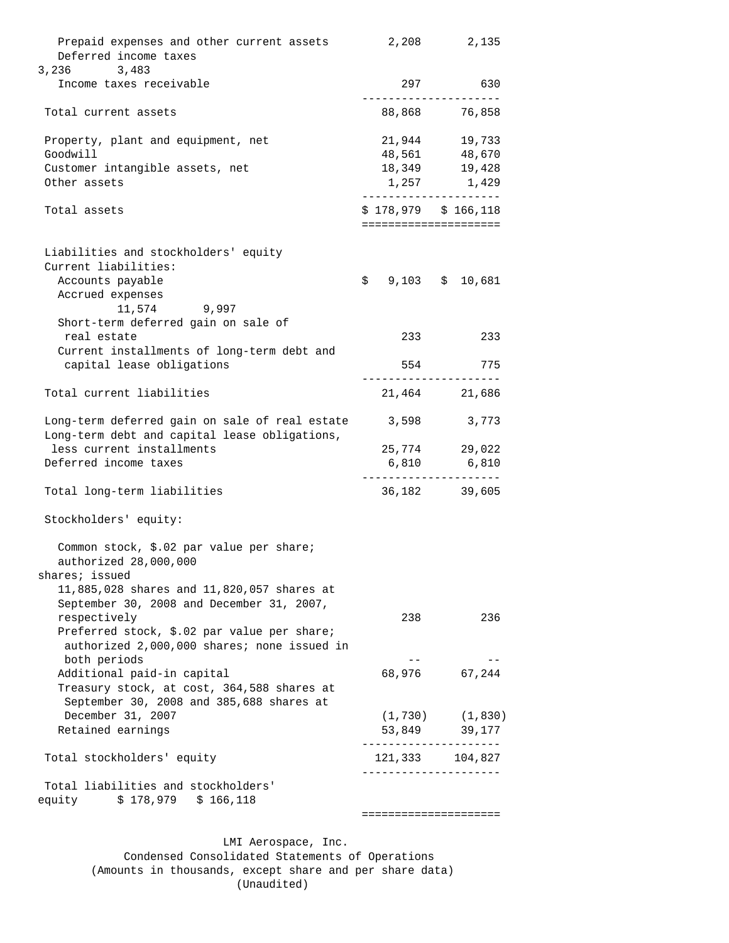|                                                                              | =====================           |                                                |  |  |  |
|------------------------------------------------------------------------------|---------------------------------|------------------------------------------------|--|--|--|
| Total liabilities and stockholders'<br>equity        \$ 178,979   \$ 166,118 |                                 |                                                |  |  |  |
| Total stockholders' equity                                                   | . _ _ _ _ _ _ _ _ _ _ _ _ _ _ _ | 121,333 104,827<br>---------------             |  |  |  |
| Retained earnings                                                            |                                 | 53,849 39,177                                  |  |  |  |
| December 31, 2007                                                            | (1, 730)                        | (1, 830)                                       |  |  |  |
| September 30, 2008 and 385,688 shares at                                     |                                 |                                                |  |  |  |
| Treasury stock, at cost, 364,588 shares at                                   |                                 |                                                |  |  |  |
| Additional paid-in capital                                                   |                                 | 68,976 67,244                                  |  |  |  |
| both periods                                                                 |                                 |                                                |  |  |  |
| authorized 2,000,000 shares; none issued in                                  |                                 |                                                |  |  |  |
| respectively<br>Preferred stock, \$.02 par value per share;                  | 238                             | 236                                            |  |  |  |
| September 30, 2008 and December 31, 2007,                                    |                                 |                                                |  |  |  |
| 11,885,028 shares and 11,820,057 shares at                                   |                                 |                                                |  |  |  |
| shares; issued                                                               |                                 |                                                |  |  |  |
| authorized 28,000,000                                                        |                                 |                                                |  |  |  |
| Common stock, \$.02 par value per share;                                     |                                 |                                                |  |  |  |
|                                                                              |                                 |                                                |  |  |  |
| Stockholders' equity:                                                        |                                 |                                                |  |  |  |
|                                                                              |                                 |                                                |  |  |  |
| Total long-term liabilities                                                  |                                 | 36, 182 39, 605                                |  |  |  |
| Deferred income taxes                                                        |                                 | 6,810 6,810                                    |  |  |  |
| less current installments                                                    |                                 | 25,774 29,022                                  |  |  |  |
| Long-term debt and capital lease obligations,                                |                                 |                                                |  |  |  |
| Long-term deferred gain on sale of real estate 3,598 3,773                   |                                 |                                                |  |  |  |
|                                                                              |                                 |                                                |  |  |  |
| Total current liabilities                                                    |                                 | 21,464 21,686                                  |  |  |  |
| capital lease obligations                                                    |                                 | 554 775                                        |  |  |  |
| Current installments of long-term debt and                                   |                                 |                                                |  |  |  |
| real estate                                                                  | 233                             | 233                                            |  |  |  |
| Short-term deferred gain on sale of                                          |                                 |                                                |  |  |  |
| 11,574 9,997                                                                 |                                 |                                                |  |  |  |
| Accrued expenses                                                             |                                 |                                                |  |  |  |
| Accounts payable                                                             |                                 | $$9,103$ $$10,681$                             |  |  |  |
| Liabilities and stockholders' equity<br>Current liabilities:                 |                                 |                                                |  |  |  |
|                                                                              |                                 |                                                |  |  |  |
| Total assets                                                                 |                                 | $$178,979$ $$166,118$<br>===================== |  |  |  |
|                                                                              |                                 | ---------------                                |  |  |  |
| Other assets                                                                 |                                 | 1,257 1,429                                    |  |  |  |
| Customer intangible assets, net                                              |                                 | 18,349 19,428                                  |  |  |  |
| Goodwill                                                                     | 48,561                          | 48,670                                         |  |  |  |
| Property, plant and equipment, net                                           |                                 | 21,944 19,733                                  |  |  |  |
| Total current assets                                                         |                                 | 88,868 76,858                                  |  |  |  |
|                                                                              |                                 |                                                |  |  |  |
| Income taxes receivable                                                      |                                 | 297 630                                        |  |  |  |
| Deferred income taxes<br>3,236<br>3,483                                      |                                 |                                                |  |  |  |
| Prepaid expenses and other current assets                                    |                                 | 2,208 2,135                                    |  |  |  |
|                                                                              |                                 |                                                |  |  |  |

 LMI Aerospace, Inc. Condensed Consolidated Statements of Operations (Amounts in thousands, except share and per share data) (Unaudited)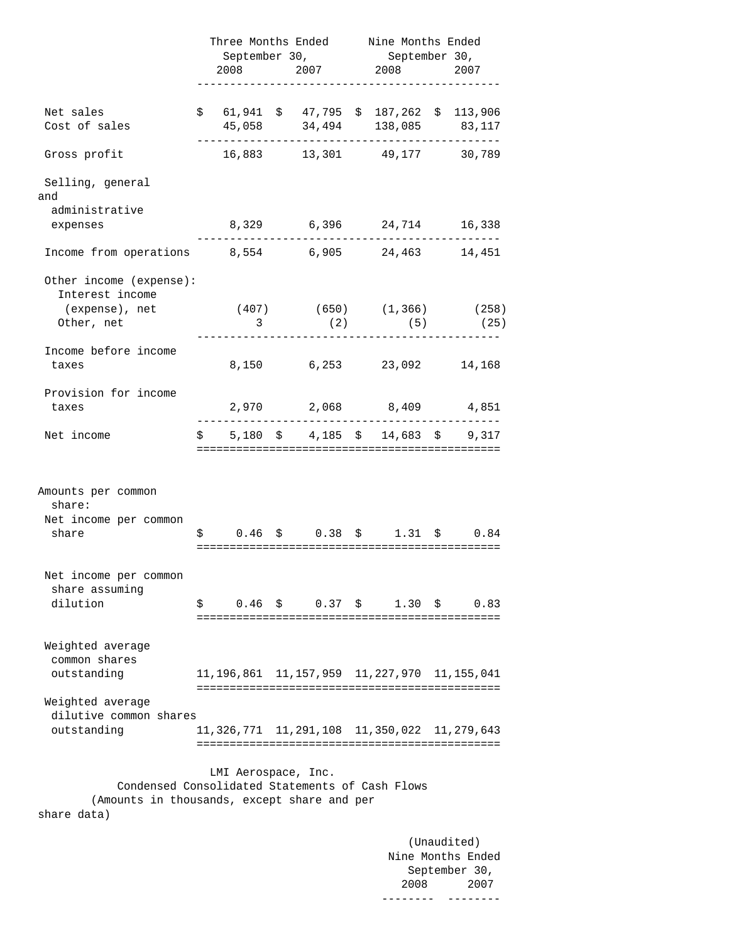| Net sales<br>Cost of sales<br>Gross profit                     | $$61,941$ \$47,795 \$187,262 \$113,906 | September 30, | September 30,<br>$2008$ 2007 2008                      | 2007 |
|----------------------------------------------------------------|----------------------------------------|---------------|--------------------------------------------------------|------|
|                                                                |                                        |               |                                                        |      |
|                                                                |                                        |               |                                                        |      |
|                                                                |                                        |               | 45,058 34,494 138,085 83,117                           |      |
|                                                                |                                        |               | 16,883 13,301 49,177 30,789                            |      |
| Selling, general<br>and                                        |                                        |               |                                                        |      |
| administrative                                                 |                                        |               |                                                        |      |
| expenses                                                       |                                        |               | 8,329 6,396 24,714 16,338<br>_________________________ |      |
| Income from operations 8,554 6,905 24,463 14,451               |                                        |               |                                                        |      |
| Other income (expense):<br>Interest income                     |                                        |               |                                                        |      |
| (expense), net (407) (650) (1,366) (258)<br>Other, net         | 3                                      | (2)           | $(5)$ $(25)$                                           |      |
|                                                                |                                        |               |                                                        |      |
| Income before income                                           |                                        |               |                                                        |      |
| taxes                                                          |                                        |               | 8,150 6,253 23,092 14,168                              |      |
| Provision for income                                           |                                        |               |                                                        |      |
| taxes                                                          |                                        |               | 2,970 2,068 8,409 4,851                                |      |
| Net income                                                     |                                        |               | $$5,180$ \$ 4,185 \$ 14,683 \$ 9,317                   |      |
| Amounts per common<br>share:<br>Net income per common<br>share |                                        |               | $$0.46 \t$ 0.38 \t$ 1.31 \t$ 0.84$                     |      |
| Net income per common                                          |                                        |               |                                                        |      |
| share assuming                                                 |                                        |               |                                                        |      |
| dilution                                                       |                                        |               | $\sin 0.46$ \$ 0.37 \$ 1.30 \$                         | 0.83 |
| Weighted average<br>common shares                              |                                        |               |                                                        |      |
| outstanding                                                    |                                        |               | 11, 196, 861 11, 157, 959 11, 227, 970 11, 155, 041    |      |
|                                                                |                                        |               |                                                        |      |
| Weighted average<br>dilutive common shares                     |                                        |               |                                                        |      |
| outstanding                                                    |                                        |               | 11, 326, 771 11, 291, 108 11, 350, 022 11, 279, 643    |      |
|                                                                | LMI Aerospace, Inc.                    |               |                                                        |      |
| Condensed Consolidated Statements of Cash Flows                |                                        |               |                                                        |      |
| (Amounts in thousands, except share and per                    |                                        |               |                                                        |      |

 (Unaudited) Nine Months Ended September 30, 2008 2007 -------- --------